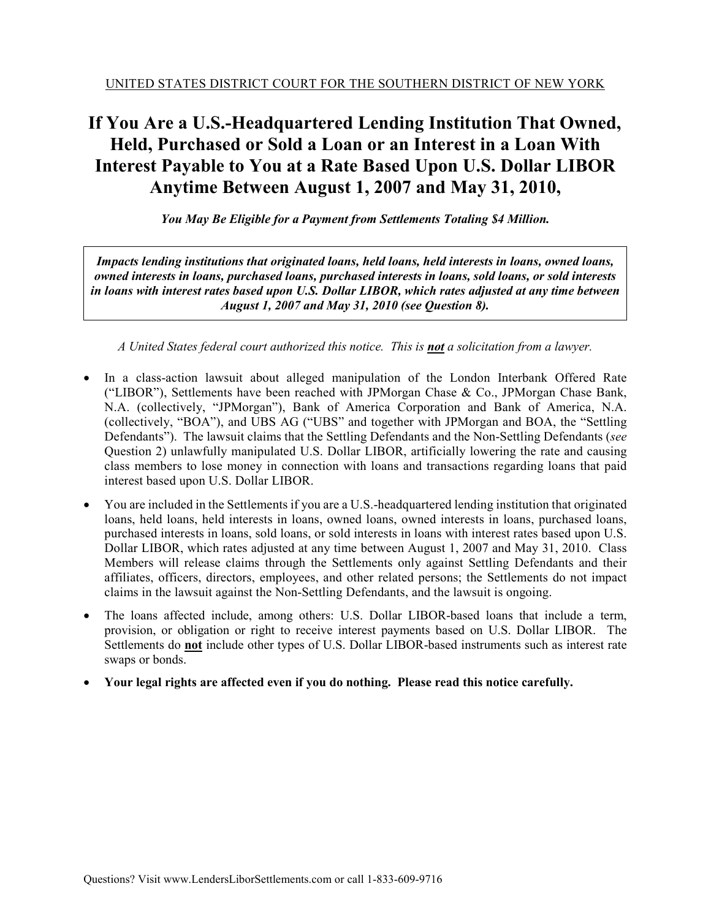# **If You Are a U.S.-Headquartered Lending Institution That Owned, Held, Purchased or Sold a Loan or an Interest in a Loan With Interest Payable to You at a Rate Based Upon U.S. Dollar LIBOR Anytime Between August 1, 2007 and May 31, 2010,**

*You May Be Eligible for a Payment from Settlements Totaling \$4 Million.* 

*Impacts lending institutions that originated loans, held loans, held interests in loans, owned loans, owned interests in loans, purchased loans, purchased interests in loans, sold loans, or sold interests in loans with interest rates based upon U.S. Dollar LIBOR, which rates adjusted at any time between August 1, 2007 and May 31, 2010 (see Question 8).* 

*A United States federal court authorized this notice. This is not a solicitation from a lawyer.* 

- In a class-action lawsuit about alleged manipulation of the London Interbank Offered Rate ("LIBOR"), Settlements have been reached with JPMorgan Chase & Co., JPMorgan Chase Bank, N.A. (collectively, "JPMorgan"), Bank of America Corporation and Bank of America, N.A. (collectively, "BOA"), and UBS AG ("UBS" and together with JPMorgan and BOA, the "Settling Defendants"). The lawsuit claims that the Settling Defendants and the Non-Settling Defendants (*see*  Question 2) unlawfully manipulated U.S. Dollar LIBOR, artificially lowering the rate and causing class members to lose money in connection with loans and transactions regarding loans that paid interest based upon U.S. Dollar LIBOR.
- You are included in the Settlements if you are a U.S.-headquartered lending institution that originated loans, held loans, held interests in loans, owned loans, owned interests in loans, purchased loans, purchased interests in loans, sold loans, or sold interests in loans with interest rates based upon U.S. Dollar LIBOR, which rates adjusted at any time between August 1, 2007 and May 31, 2010. Class Members will release claims through the Settlements only against Settling Defendants and their affiliates, officers, directors, employees, and other related persons; the Settlements do not impact claims in the lawsuit against the Non-Settling Defendants, and the lawsuit is ongoing.
- The loans affected include, among others: U.S. Dollar LIBOR-based loans that include a term, provision, or obligation or right to receive interest payments based on U.S. Dollar LIBOR. The Settlements do **not** include other types of U.S. Dollar LIBOR-based instruments such as interest rate swaps or bonds.
- **Your legal rights are affected even if you do nothing. Please read this notice carefully.**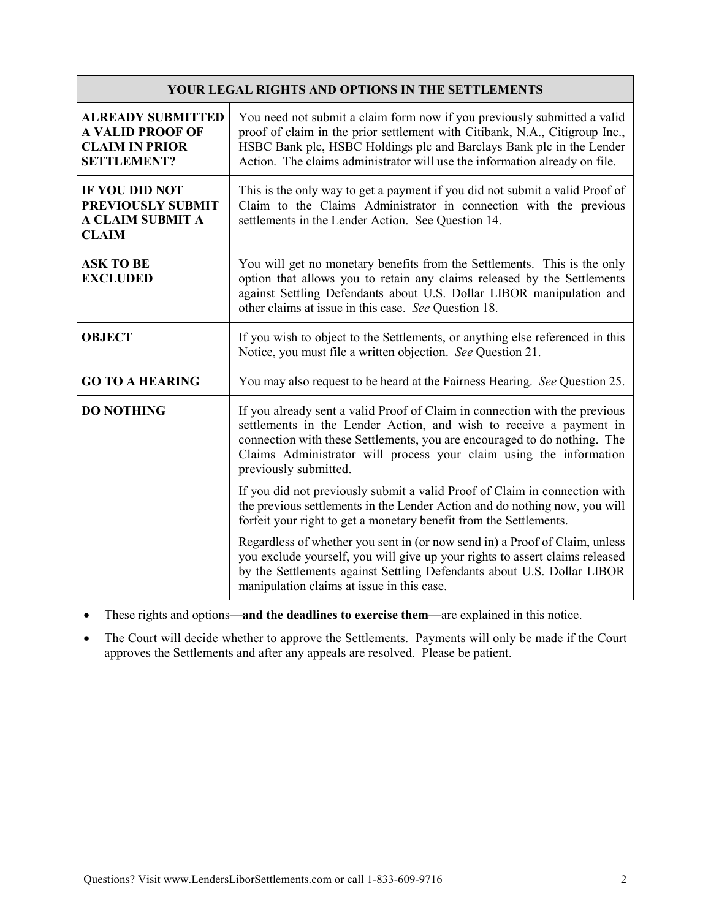| <b>YOUR LEGAL RIGHTS AND OPTIONS IN THE SETTLEMENTS</b>                                            |                                                                                                                                                                                                                                                                                                                             |  |  |
|----------------------------------------------------------------------------------------------------|-----------------------------------------------------------------------------------------------------------------------------------------------------------------------------------------------------------------------------------------------------------------------------------------------------------------------------|--|--|
| <b>ALREADY SUBMITTED</b><br><b>A VALID PROOF OF</b><br><b>CLAIM IN PRIOR</b><br><b>SETTLEMENT?</b> | You need not submit a claim form now if you previously submitted a valid<br>proof of claim in the prior settlement with Citibank, N.A., Citigroup Inc.,<br>HSBC Bank plc, HSBC Holdings plc and Barclays Bank plc in the Lender<br>Action. The claims administrator will use the information already on file.               |  |  |
| <b>IF YOU DID NOT</b><br>PREVIOUSLY SUBMIT<br>A CLAIM SUBMIT A<br><b>CLAIM</b>                     | This is the only way to get a payment if you did not submit a valid Proof of<br>Claim to the Claims Administrator in connection with the previous<br>settlements in the Lender Action. See Question 14.                                                                                                                     |  |  |
| <b>ASK TO BE</b><br><b>EXCLUDED</b>                                                                | You will get no monetary benefits from the Settlements. This is the only<br>option that allows you to retain any claims released by the Settlements<br>against Settling Defendants about U.S. Dollar LIBOR manipulation and<br>other claims at issue in this case. See Question 18.                                         |  |  |
| <b>OBJECT</b>                                                                                      | If you wish to object to the Settlements, or anything else referenced in this<br>Notice, you must file a written objection. See Question 21.                                                                                                                                                                                |  |  |
| <b>GO TO A HEARING</b>                                                                             | You may also request to be heard at the Fairness Hearing. See Question 25.                                                                                                                                                                                                                                                  |  |  |
| <b>DO NOTHING</b>                                                                                  | If you already sent a valid Proof of Claim in connection with the previous<br>settlements in the Lender Action, and wish to receive a payment in<br>connection with these Settlements, you are encouraged to do nothing. The<br>Claims Administrator will process your claim using the information<br>previously submitted. |  |  |
|                                                                                                    | If you did not previously submit a valid Proof of Claim in connection with<br>the previous settlements in the Lender Action and do nothing now, you will<br>forfeit your right to get a monetary benefit from the Settlements.                                                                                              |  |  |
|                                                                                                    | Regardless of whether you sent in (or now send in) a Proof of Claim, unless<br>you exclude yourself, you will give up your rights to assert claims released<br>by the Settlements against Settling Defendants about U.S. Dollar LIBOR<br>manipulation claims at issue in this case.                                         |  |  |

These rights and options—**and the deadlines to exercise them**—are explained in this notice.

 The Court will decide whether to approve the Settlements. Payments will only be made if the Court approves the Settlements and after any appeals are resolved. Please be patient.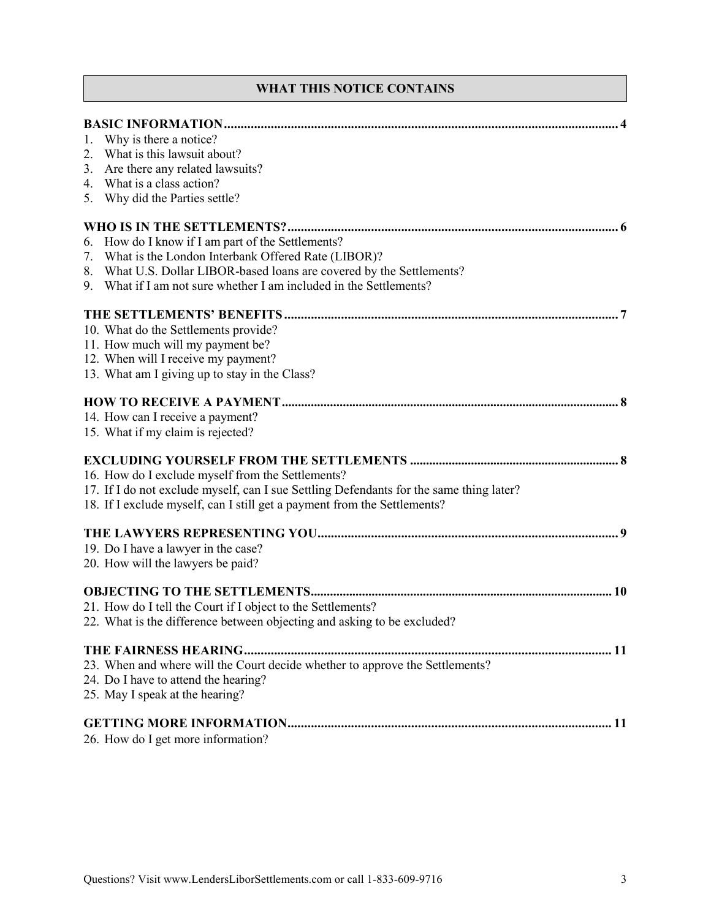# **WHAT THIS NOTICE CONTAINS**

| 1. | Why is there a notice?                                                                  |
|----|-----------------------------------------------------------------------------------------|
| 2. | What is this lawsuit about?                                                             |
| 3. | Are there any related lawsuits?                                                         |
|    | 4. What is a class action?                                                              |
| 5. | Why did the Parties settle?                                                             |
|    |                                                                                         |
| 6. | How do I know if I am part of the Settlements?                                          |
| 7. | What is the London Interbank Offered Rate (LIBOR)?                                      |
|    | 8. What U.S. Dollar LIBOR-based loans are covered by the Settlements?                   |
| 9. | What if I am not sure whether I am included in the Settlements?                         |
|    |                                                                                         |
|    |                                                                                         |
|    | 10. What do the Settlements provide?                                                    |
|    | 11. How much will my payment be?                                                        |
|    | 12. When will I receive my payment?<br>13. What am I giving up to stay in the Class?    |
|    |                                                                                         |
|    |                                                                                         |
|    | 14. How can I receive a payment?                                                        |
|    | 15. What if my claim is rejected?                                                       |
|    |                                                                                         |
|    | 16. How do I exclude myself from the Settlements?                                       |
|    | 17. If I do not exclude myself, can I sue Settling Defendants for the same thing later? |
|    | 18. If I exclude myself, can I still get a payment from the Settlements?                |
|    |                                                                                         |
|    |                                                                                         |
|    | 19. Do I have a lawyer in the case?                                                     |
|    | 20. How will the lawyers be paid?                                                       |
|    |                                                                                         |
|    | 21. How do I tell the Court if I object to the Settlements?                             |
|    | 22. What is the difference between objecting and asking to be excluded?                 |
|    |                                                                                         |
|    |                                                                                         |
|    | 23. When and where will the Court decide whether to approve the Settlements?            |
|    | 24. Do I have to attend the hearing?                                                    |
|    | 25. May I speak at the hearing?                                                         |
|    |                                                                                         |
|    | 26. How do I get more information?                                                      |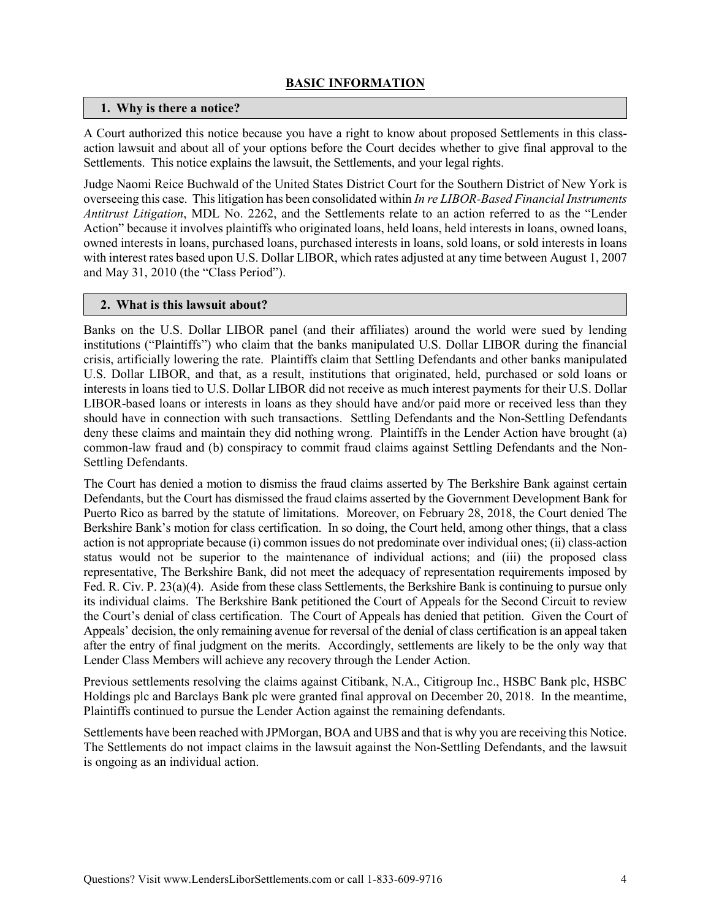## **BASIC INFORMATION**

#### **1. Why is there a notice?**

A Court authorized this notice because you have a right to know about proposed Settlements in this classaction lawsuit and about all of your options before the Court decides whether to give final approval to the Settlements. This notice explains the lawsuit, the Settlements, and your legal rights.

Judge Naomi Reice Buchwald of the United States District Court for the Southern District of New York is overseeing this case. This litigation has been consolidated within *In re LIBOR-Based Financial Instruments Antitrust Litigation*, MDL No. 2262, and the Settlements relate to an action referred to as the "Lender Action" because it involves plaintiffs who originated loans, held loans, held interests in loans, owned loans, owned interests in loans, purchased loans, purchased interests in loans, sold loans, or sold interests in loans with interest rates based upon U.S. Dollar LIBOR, which rates adjusted at any time between August 1, 2007 and May 31, 2010 (the "Class Period").

#### **2. What is this lawsuit about?**

Banks on the U.S. Dollar LIBOR panel (and their affiliates) around the world were sued by lending institutions ("Plaintiffs") who claim that the banks manipulated U.S. Dollar LIBOR during the financial crisis, artificially lowering the rate. Plaintiffs claim that Settling Defendants and other banks manipulated U.S. Dollar LIBOR, and that, as a result, institutions that originated, held, purchased or sold loans or interests in loans tied to U.S. Dollar LIBOR did not receive as much interest payments for their U.S. Dollar LIBOR-based loans or interests in loans as they should have and/or paid more or received less than they should have in connection with such transactions. Settling Defendants and the Non-Settling Defendants deny these claims and maintain they did nothing wrong. Plaintiffs in the Lender Action have brought (a) common-law fraud and (b) conspiracy to commit fraud claims against Settling Defendants and the Non-Settling Defendants.

The Court has denied a motion to dismiss the fraud claims asserted by The Berkshire Bank against certain Defendants, but the Court has dismissed the fraud claims asserted by the Government Development Bank for Puerto Rico as barred by the statute of limitations. Moreover, on February 28, 2018, the Court denied The Berkshire Bank's motion for class certification. In so doing, the Court held, among other things, that a class action is not appropriate because (i) common issues do not predominate over individual ones; (ii) class-action status would not be superior to the maintenance of individual actions; and (iii) the proposed class representative, The Berkshire Bank, did not meet the adequacy of representation requirements imposed by Fed. R. Civ. P. 23(a)(4). Aside from these class Settlements, the Berkshire Bank is continuing to pursue only its individual claims. The Berkshire Bank petitioned the Court of Appeals for the Second Circuit to review the Court's denial of class certification. The Court of Appeals has denied that petition. Given the Court of Appeals' decision, the only remaining avenue for reversal of the denial of class certification is an appeal taken after the entry of final judgment on the merits. Accordingly, settlements are likely to be the only way that Lender Class Members will achieve any recovery through the Lender Action.

Previous settlements resolving the claims against Citibank, N.A., Citigroup Inc., HSBC Bank plc, HSBC Holdings plc and Barclays Bank plc were granted final approval on December 20, 2018. In the meantime, Plaintiffs continued to pursue the Lender Action against the remaining defendants.

Settlements have been reached with JPMorgan, BOA and UBS and that is why you are receiving this Notice. The Settlements do not impact claims in the lawsuit against the Non-Settling Defendants, and the lawsuit is ongoing as an individual action.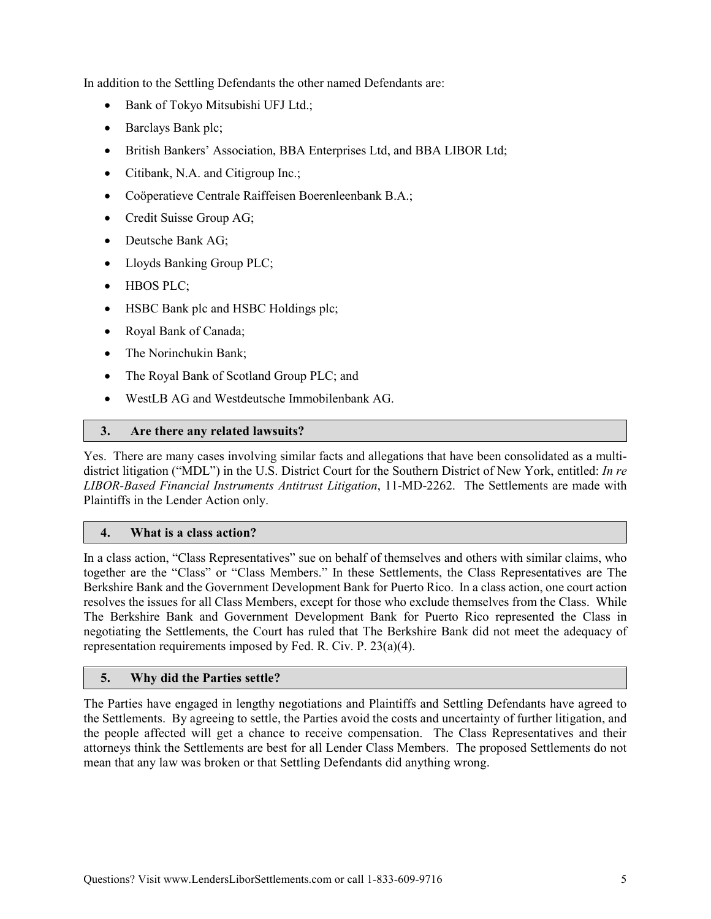In addition to the Settling Defendants the other named Defendants are:

- Bank of Tokyo Mitsubishi UFJ Ltd.;
- Barclays Bank plc;
- British Bankers' Association, BBA Enterprises Ltd, and BBA LIBOR Ltd;
- Citibank, N.A. and Citigroup Inc.;
- Coöperatieve Centrale Raiffeisen Boerenleenbank B.A.;
- Credit Suisse Group AG;
- Deutsche Bank AG;
- Lloyds Banking Group PLC;
- HBOS PLC:
- HSBC Bank plc and HSBC Holdings plc;
- Royal Bank of Canada;
- The Norinchukin Bank:
- The Royal Bank of Scotland Group PLC; and
- WestLB AG and Westdeutsche Immobilenbank AG.

### **3. Are there any related lawsuits?**

Yes. There are many cases involving similar facts and allegations that have been consolidated as a multidistrict litigation ("MDL") in the U.S. District Court for the Southern District of New York, entitled: *In re LIBOR-Based Financial Instruments Antitrust Litigation*, 11-MD-2262. The Settlements are made with Plaintiffs in the Lender Action only.

#### **4. What is a class action?**

In a class action, "Class Representatives" sue on behalf of themselves and others with similar claims, who together are the "Class" or "Class Members." In these Settlements, the Class Representatives are The Berkshire Bank and the Government Development Bank for Puerto Rico. In a class action, one court action resolves the issues for all Class Members, except for those who exclude themselves from the Class. While The Berkshire Bank and Government Development Bank for Puerto Rico represented the Class in negotiating the Settlements, the Court has ruled that The Berkshire Bank did not meet the adequacy of representation requirements imposed by Fed. R. Civ. P. 23(a)(4).

## **5. Why did the Parties settle?**

The Parties have engaged in lengthy negotiations and Plaintiffs and Settling Defendants have agreed to the Settlements. By agreeing to settle, the Parties avoid the costs and uncertainty of further litigation, and the people affected will get a chance to receive compensation. The Class Representatives and their attorneys think the Settlements are best for all Lender Class Members. The proposed Settlements do not mean that any law was broken or that Settling Defendants did anything wrong.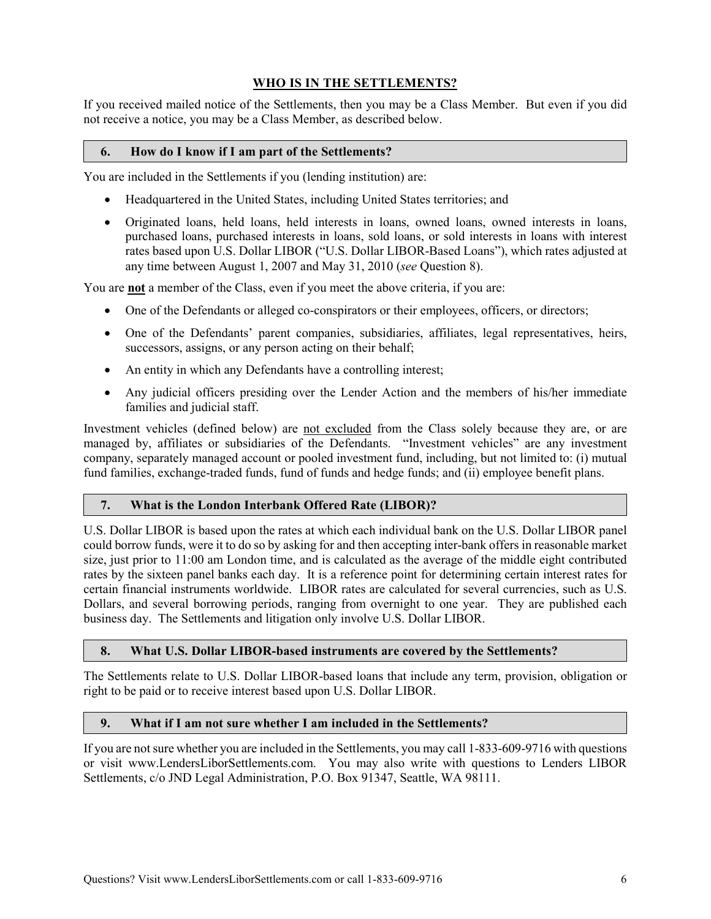## **WHO IS IN THE SETTLEMENTS?**

If you received mailed notice of the Settlements, then you may be a Class Member. But even if you did not receive a notice, you may be a Class Member, as described below.

#### **6. How do I know if I am part of the Settlements?**

You are included in the Settlements if you (lending institution) are:

- Headquartered in the United States, including United States territories; and
- Originated loans, held loans, held interests in loans, owned loans, owned interests in loans, purchased loans, purchased interests in loans, sold loans, or sold interests in loans with interest rates based upon U.S. Dollar LIBOR ("U.S. Dollar LIBOR-Based Loans"), which rates adjusted at any time between August 1, 2007 and May 31, 2010 (*see* Question 8).

You are **not** a member of the Class, even if you meet the above criteria, if you are:

- One of the Defendants or alleged co-conspirators or their employees, officers, or directors;
- One of the Defendants' parent companies, subsidiaries, affiliates, legal representatives, heirs, successors, assigns, or any person acting on their behalf;
- An entity in which any Defendants have a controlling interest;
- Any judicial officers presiding over the Lender Action and the members of his/her immediate families and judicial staff.

Investment vehicles (defined below) are not excluded from the Class solely because they are, or are managed by, affiliates or subsidiaries of the Defendants. "Investment vehicles" are any investment company, separately managed account or pooled investment fund, including, but not limited to: (i) mutual fund families, exchange-traded funds, fund of funds and hedge funds; and (ii) employee benefit plans.

#### **7. What is the London Interbank Offered Rate (LIBOR)?**

U.S. Dollar LIBOR is based upon the rates at which each individual bank on the U.S. Dollar LIBOR panel could borrow funds, were it to do so by asking for and then accepting inter-bank offers in reasonable market size, just prior to 11:00 am London time, and is calculated as the average of the middle eight contributed rates by the sixteen panel banks each day. It is a reference point for determining certain interest rates for certain financial instruments worldwide. LIBOR rates are calculated for several currencies, such as U.S. Dollars, and several borrowing periods, ranging from overnight to one year. They are published each business day. The Settlements and litigation only involve U.S. Dollar LIBOR.

#### **8. What U.S. Dollar LIBOR-based instruments are covered by the Settlements?**

The Settlements relate to U.S. Dollar LIBOR-based loans that include any term, provision, obligation or right to be paid or to receive interest based upon U.S. Dollar LIBOR.

#### **9. What if I am not sure whether I am included in the Settlements?**

If you are not sure whether you are included in the Settlements, you may call 1-833-609-9716 with questions or visit www.LendersLiborSettlements.com. You may also write with questions to Lenders LIBOR Settlements, c/o JND Legal Administration, P.O. Box 91347, Seattle, WA 98111.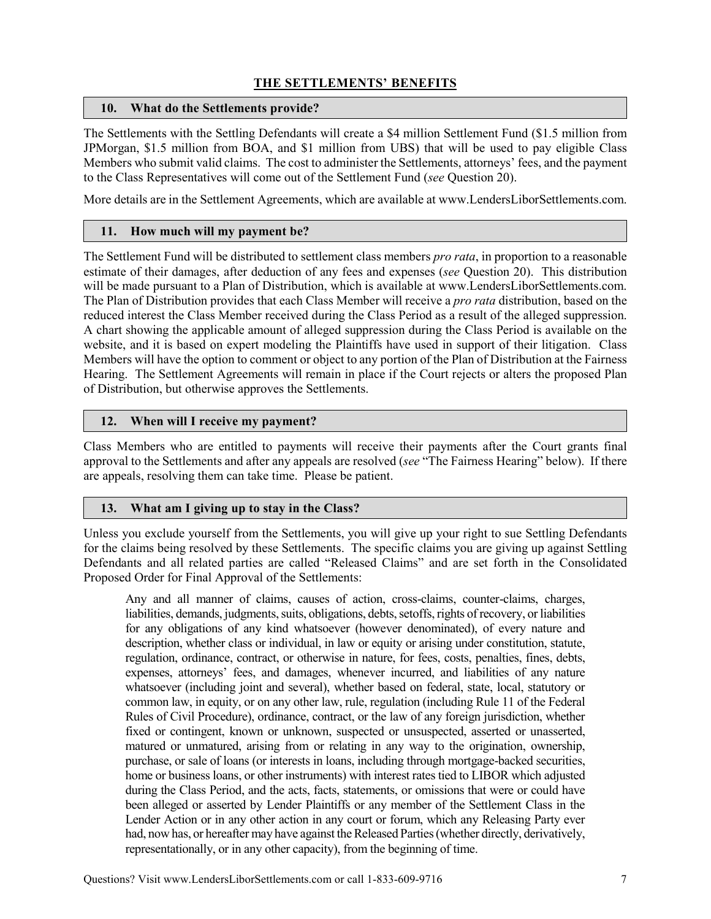# **THE SETTLEMENTS' BENEFITS**

### **10. What do the Settlements provide?**

The Settlements with the Settling Defendants will create a \$4 million Settlement Fund (\$1.5 million from JPMorgan, \$1.5 million from BOA, and \$1 million from UBS) that will be used to pay eligible Class Members who submit valid claims. The cost to administer the Settlements, attorneys' fees, and the payment to the Class Representatives will come out of the Settlement Fund (*see* Question 20).

More details are in the Settlement Agreements, which are available at www.LendersLiborSettlements.com.

## **11. How much will my payment be?**

The Settlement Fund will be distributed to settlement class members *pro rata*, in proportion to a reasonable estimate of their damages, after deduction of any fees and expenses (*see* Question 20). This distribution will be made pursuant to a Plan of Distribution, which is available at www.LendersLiborSettlements.com. The Plan of Distribution provides that each Class Member will receive a *pro rata* distribution, based on the reduced interest the Class Member received during the Class Period as a result of the alleged suppression. A chart showing the applicable amount of alleged suppression during the Class Period is available on the website, and it is based on expert modeling the Plaintiffs have used in support of their litigation. Class Members will have the option to comment or object to any portion of the Plan of Distribution at the Fairness Hearing. The Settlement Agreements will remain in place if the Court rejects or alters the proposed Plan of Distribution, but otherwise approves the Settlements.

### **12. When will I receive my payment?**

Class Members who are entitled to payments will receive their payments after the Court grants final approval to the Settlements and after any appeals are resolved (*see* "The Fairness Hearing" below). If there are appeals, resolving them can take time. Please be patient.

## **13. What am I giving up to stay in the Class?**

Unless you exclude yourself from the Settlements, you will give up your right to sue Settling Defendants for the claims being resolved by these Settlements. The specific claims you are giving up against Settling Defendants and all related parties are called "Released Claims" and are set forth in the Consolidated Proposed Order for Final Approval of the Settlements:

Any and all manner of claims, causes of action, cross-claims, counter-claims, charges, liabilities, demands, judgments, suits, obligations, debts, setoffs, rights of recovery, or liabilities for any obligations of any kind whatsoever (however denominated), of every nature and description, whether class or individual, in law or equity or arising under constitution, statute, regulation, ordinance, contract, or otherwise in nature, for fees, costs, penalties, fines, debts, expenses, attorneys' fees, and damages, whenever incurred, and liabilities of any nature whatsoever (including joint and several), whether based on federal, state, local, statutory or common law, in equity, or on any other law, rule, regulation (including Rule 11 of the Federal Rules of Civil Procedure), ordinance, contract, or the law of any foreign jurisdiction, whether fixed or contingent, known or unknown, suspected or unsuspected, asserted or unasserted, matured or unmatured, arising from or relating in any way to the origination, ownership, purchase, or sale of loans (or interests in loans, including through mortgage-backed securities, home or business loans, or other instruments) with interest rates tied to LIBOR which adjusted during the Class Period, and the acts, facts, statements, or omissions that were or could have been alleged or asserted by Lender Plaintiffs or any member of the Settlement Class in the Lender Action or in any other action in any court or forum, which any Releasing Party ever had, now has, or hereafter may have against the Released Parties (whether directly, derivatively, representationally, or in any other capacity), from the beginning of time.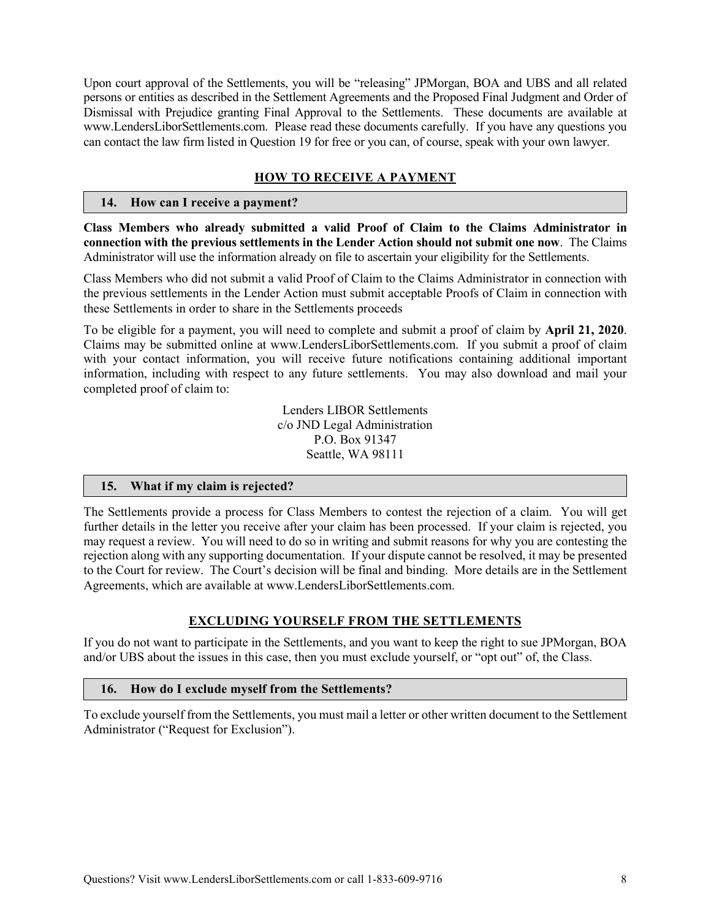Upon court approval of the Settlements, you will be "releasing" JPMorgan, BOA and UBS and all related persons or entities as described in the Settlement Agreements and the Proposed Final Judgment and Order of Dismissal with Prejudice granting Final Approval to the Settlements. These documents are available at www.LendersLiborSettlements.com. Please read these documents carefully. If you have any questions you can contact the law firm listed in Question 19 for free or you can, of course, speak with your own lawyer.

## **HOW TO RECEIVE A PAYMENT**

#### **14. How can I receive a payment?**

**Class Members who already submitted a valid Proof of Claim to the Claims Administrator in connection with the previous settlements in the Lender Action should not submit one now**. The Claims Administrator will use the information already on file to ascertain your eligibility for the Settlements.

Class Members who did not submit a valid Proof of Claim to the Claims Administrator in connection with the previous settlements in the Lender Action must submit acceptable Proofs of Claim in connection with these Settlements in order to share in the Settlements proceeds

To be eligible for a payment, you will need to complete and submit a proof of claim by **April 21, 2020**. Claims may be submitted online at www.LendersLiborSettlements.com. If you submit a proof of claim with your contact information, you will receive future notifications containing additional important information, including with respect to any future settlements. You may also download and mail your completed proof of claim to:

> Lenders LIBOR Settlements c/o JND Legal Administration P.O. Box 91347 Seattle, WA 98111

#### **15. What if my claim is rejected?**

The Settlements provide a process for Class Members to contest the rejection of a claim. You will get further details in the letter you receive after your claim has been processed. If your claim is rejected, you may request a review. You will need to do so in writing and submit reasons for why you are contesting the rejection along with any supporting documentation. If your dispute cannot be resolved, it may be presented to the Court for review. The Court's decision will be final and binding. More details are in the Settlement Agreements, which are available at www.LendersLiborSettlements.com.

#### **EXCLUDING YOURSELF FROM THE SETTLEMENTS**

If you do not want to participate in the Settlements, and you want to keep the right to sue JPMorgan, BOA and/or UBS about the issues in this case, then you must exclude yourself, or "opt out" of, the Class.

#### **16. How do I exclude myself from the Settlements?**

To exclude yourself from the Settlements, you must mail a letter or other written document to the Settlement Administrator ("Request for Exclusion").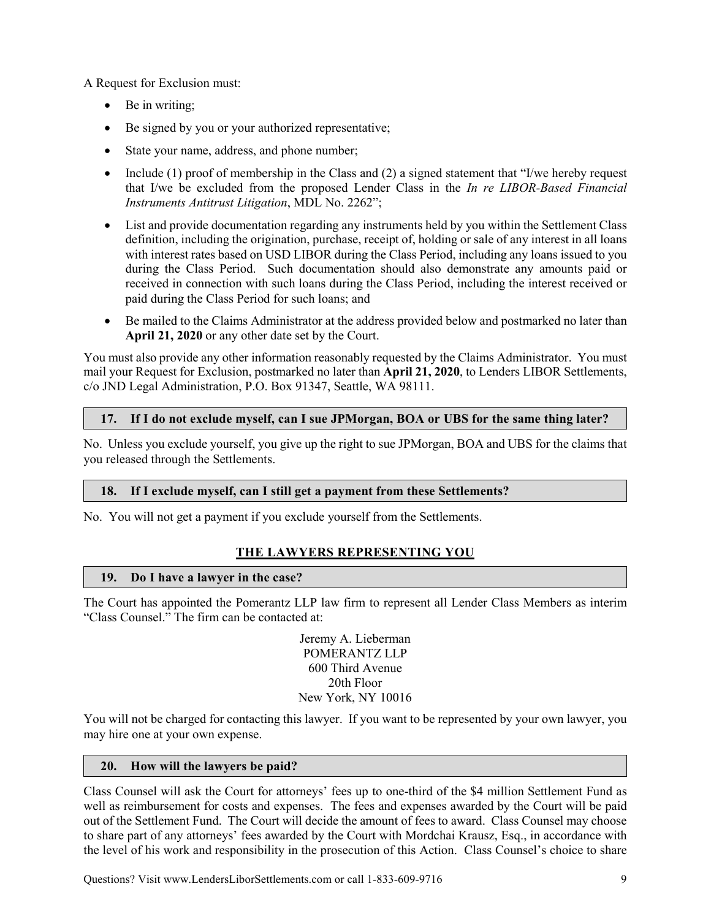A Request for Exclusion must:

- Be in writing;
- Be signed by you or your authorized representative;
- State your name, address, and phone number;
- Include (1) proof of membership in the Class and (2) a signed statement that "I/we hereby request that I/we be excluded from the proposed Lender Class in the *In re LIBOR-Based Financial Instruments Antitrust Litigation*, MDL No. 2262";
- List and provide documentation regarding any instruments held by you within the Settlement Class definition, including the origination, purchase, receipt of, holding or sale of any interest in all loans with interest rates based on USD LIBOR during the Class Period, including any loans issued to you during the Class Period. Such documentation should also demonstrate any amounts paid or received in connection with such loans during the Class Period, including the interest received or paid during the Class Period for such loans; and
- Be mailed to the Claims Administrator at the address provided below and postmarked no later than **April 21, 2020** or any other date set by the Court.

You must also provide any other information reasonably requested by the Claims Administrator. You must mail your Request for Exclusion, postmarked no later than **April 21, 2020**, to Lenders LIBOR Settlements, c/o JND Legal Administration, P.O. Box 91347, Seattle, WA 98111.

## **17. If I do not exclude myself, can I sue JPMorgan, BOA or UBS for the same thing later?**

No. Unless you exclude yourself, you give up the right to sue JPMorgan, BOA and UBS for the claims that you released through the Settlements.

## **18. If I exclude myself, can I still get a payment from these Settlements?**

No. You will not get a payment if you exclude yourself from the Settlements.

## **THE LAWYERS REPRESENTING YOU**

#### **19. Do I have a lawyer in the case?**

The Court has appointed the Pomerantz LLP law firm to represent all Lender Class Members as interim "Class Counsel." The firm can be contacted at:

> Jeremy A. Lieberman POMERANTZ LLP 600 Third Avenue 20th Floor New York, NY 10016

You will not be charged for contacting this lawyer. If you want to be represented by your own lawyer, you may hire one at your own expense.

#### **20. How will the lawyers be paid?**

Class Counsel will ask the Court for attorneys' fees up to one-third of the \$4 million Settlement Fund as well as reimbursement for costs and expenses. The fees and expenses awarded by the Court will be paid out of the Settlement Fund. The Court will decide the amount of fees to award. Class Counsel may choose to share part of any attorneys' fees awarded by the Court with Mordchai Krausz, Esq., in accordance with the level of his work and responsibility in the prosecution of this Action. Class Counsel's choice to share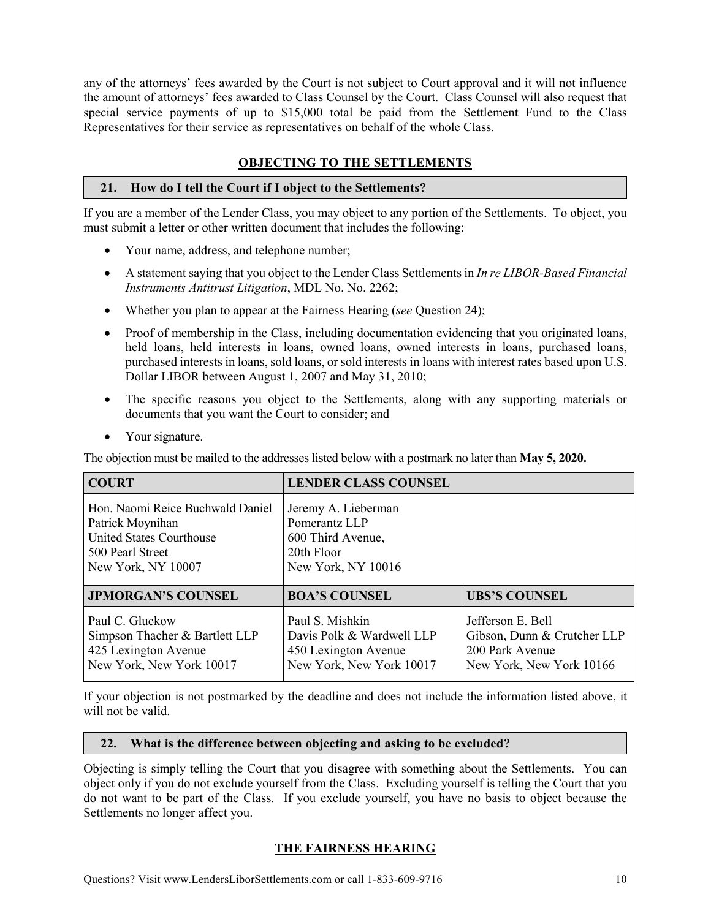any of the attorneys' fees awarded by the Court is not subject to Court approval and it will not influence the amount of attorneys' fees awarded to Class Counsel by the Court. Class Counsel will also request that special service payments of up to \$15,000 total be paid from the Settlement Fund to the Class Representatives for their service as representatives on behalf of the whole Class.

# **OBJECTING TO THE SETTLEMENTS**

### **21. How do I tell the Court if I object to the Settlements?**

If you are a member of the Lender Class, you may object to any portion of the Settlements. To object, you must submit a letter or other written document that includes the following:

- Your name, address, and telephone number;
- A statement saying that you object to the Lender Class Settlements in *In re LIBOR-Based Financial Instruments Antitrust Litigation*, MDL No. No. 2262;
- Whether you plan to appear at the Fairness Hearing (*see* Question 24);
- Proof of membership in the Class, including documentation evidencing that you originated loans, held loans, held interests in loans, owned loans, owned interests in loans, purchased loans, purchased interests in loans, sold loans, or sold interests in loans with interest rates based upon U.S. Dollar LIBOR between August 1, 2007 and May 31, 2010;
- The specific reasons you object to the Settlements, along with any supporting materials or documents that you want the Court to consider; and
- Your signature.

The objection must be mailed to the addresses listed below with a postmark no later than **May 5, 2020.**

| <b>COURT</b>                     | <b>LENDER CLASS COUNSEL</b> |                             |
|----------------------------------|-----------------------------|-----------------------------|
| Hon. Naomi Reice Buchwald Daniel | Jeremy A. Lieberman         |                             |
| Patrick Moynihan                 | Pomerantz LLP               |                             |
| United States Courthouse         | 600 Third Avenue,           |                             |
| 500 Pearl Street                 | 20th Floor                  |                             |
| New York, NY 10007               | New York, NY 10016          |                             |
| <b>JPMORGAN'S COUNSEL</b>        | <b>BOA'S COUNSEL</b>        | <b>UBS'S COUNSEL</b>        |
| Paul C. Gluckow                  | Paul S. Mishkin             | Jefferson E. Bell           |
| Simpson Thacher & Bartlett LLP   | Davis Polk & Wardwell LLP   | Gibson, Dunn & Crutcher LLP |
| 425 Lexington Avenue             | 450 Lexington Avenue        | 200 Park Avenue             |
| New York, New York 10017         | New York, New York 10017    | New York, New York 10166    |

If your objection is not postmarked by the deadline and does not include the information listed above, it will not be valid.

#### **22. What is the difference between objecting and asking to be excluded?**

Objecting is simply telling the Court that you disagree with something about the Settlements. You can object only if you do not exclude yourself from the Class. Excluding yourself is telling the Court that you do not want to be part of the Class. If you exclude yourself, you have no basis to object because the Settlements no longer affect you.

## **THE FAIRNESS HEARING**